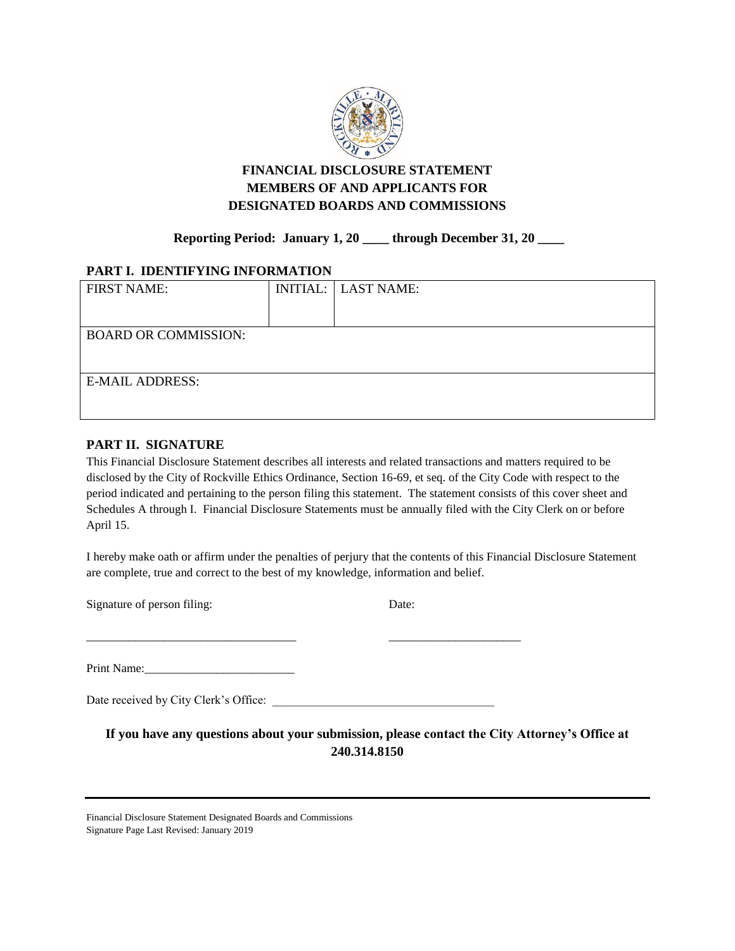

### **FINANCIAL DISCLOSURE STATEMENT MEMBERS OF AND APPLICANTS FOR DESIGNATED BOARDS AND COMMISSIONS**

### **Reporting Period: January 1, 20 \_\_\_\_ through December 31, 20 \_\_\_\_**

### **PART I. IDENTIFYING INFORMATION**

| <b>FIRST NAME:</b>          | <b>INITIAL:</b> LAST NAME: |
|-----------------------------|----------------------------|
|                             |                            |
|                             |                            |
| <b>BOARD OR COMMISSION:</b> |                            |
|                             |                            |
|                             |                            |
|                             |                            |
| <b>E-MAIL ADDRESS:</b>      |                            |
|                             |                            |
|                             |                            |

### **PART II. SIGNATURE**

This Financial Disclosure Statement describes all interests and related transactions and matters required to be disclosed by the City of Rockville Ethics Ordinance, Section 16-69, et seq. of the City Code with respect to the period indicated and pertaining to the person filing this statement. The statement consists of this cover sheet and Schedules A through I. Financial Disclosure Statements must be annually filed with the City Clerk on or before April 15.

I hereby make oath or affirm under the penalties of perjury that the contents of this Financial Disclosure Statement are complete, true and correct to the best of my knowledge, information and belief.

Signature of person filing: Date:

Print Name:\_\_\_\_\_\_\_\_\_\_\_\_\_\_\_\_\_\_\_\_\_\_\_\_\_

Date received by City Clerk's Office: \_\_\_\_\_\_\_\_\_\_\_\_\_\_\_\_\_\_\_\_\_\_\_\_\_\_\_\_\_\_\_\_\_\_\_\_\_

\_\_\_\_\_\_\_\_\_\_\_\_\_\_\_\_\_\_\_\_\_\_\_\_\_\_\_\_\_\_\_\_\_\_\_ \_\_\_\_\_\_\_\_\_\_\_\_\_\_\_\_\_\_\_\_\_\_

**If you have any questions about your submission, please contact the City Attorney's Office at 240.314.8150**

Financial Disclosure Statement Designated Boards and Commissions Signature Page Last Revised: January 2019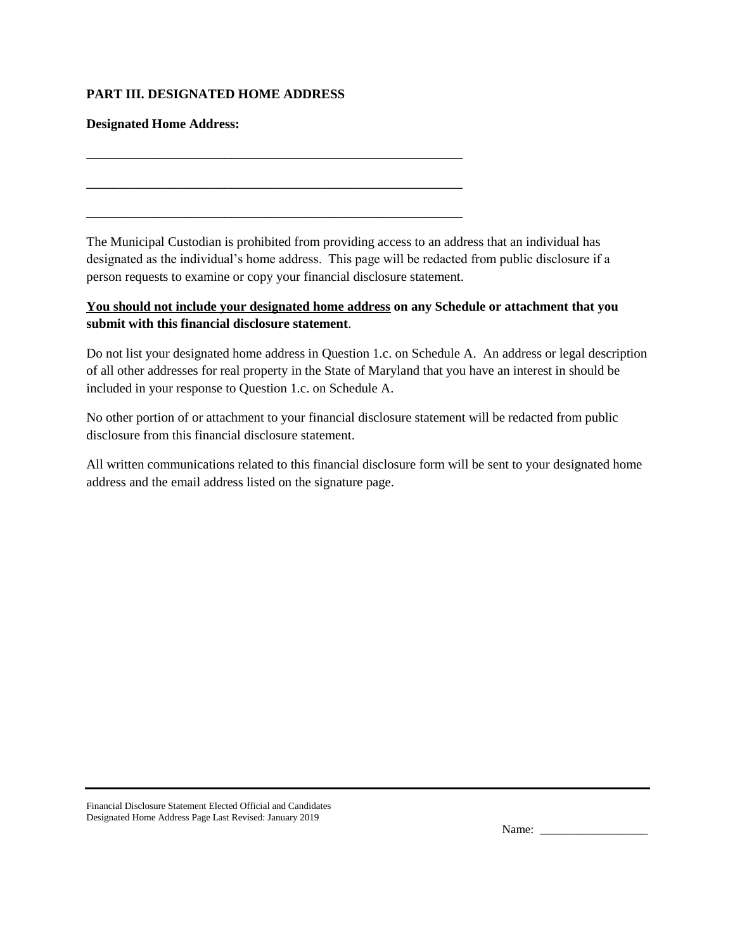### **PART III. DESIGNATED HOME ADDRESS**

**\_\_\_\_\_\_\_\_\_\_\_\_\_\_\_\_\_\_\_\_\_\_\_\_\_\_\_\_\_\_\_\_\_\_\_\_\_\_\_\_\_\_\_\_\_\_\_\_\_\_\_\_\_\_\_\_\_**

**\_\_\_\_\_\_\_\_\_\_\_\_\_\_\_\_\_\_\_\_\_\_\_\_\_\_\_\_\_\_\_\_\_\_\_\_\_\_\_\_\_\_\_\_\_\_\_\_\_\_\_\_\_\_\_\_\_**

**\_\_\_\_\_\_\_\_\_\_\_\_\_\_\_\_\_\_\_\_\_\_\_\_\_\_\_\_\_\_\_\_\_\_\_\_\_\_\_\_\_\_\_\_\_\_\_\_\_\_\_\_\_\_\_\_\_**

#### **Designated Home Address:**

The Municipal Custodian is prohibited from providing access to an address that an individual has designated as the individual's home address. This page will be redacted from public disclosure if a person requests to examine or copy your financial disclosure statement.

### **You should not include your designated home address on any Schedule or attachment that you submit with this financial disclosure statement**.

Do not list your designated home address in Question 1.c. on Schedule A. An address or legal description of all other addresses for real property in the State of Maryland that you have an interest in should be included in your response to Question 1.c. on Schedule A.

No other portion of or attachment to your financial disclosure statement will be redacted from public disclosure from this financial disclosure statement.

All written communications related to this financial disclosure form will be sent to your designated home address and the email address listed on the signature page.

| Name: |  |  |
|-------|--|--|
|-------|--|--|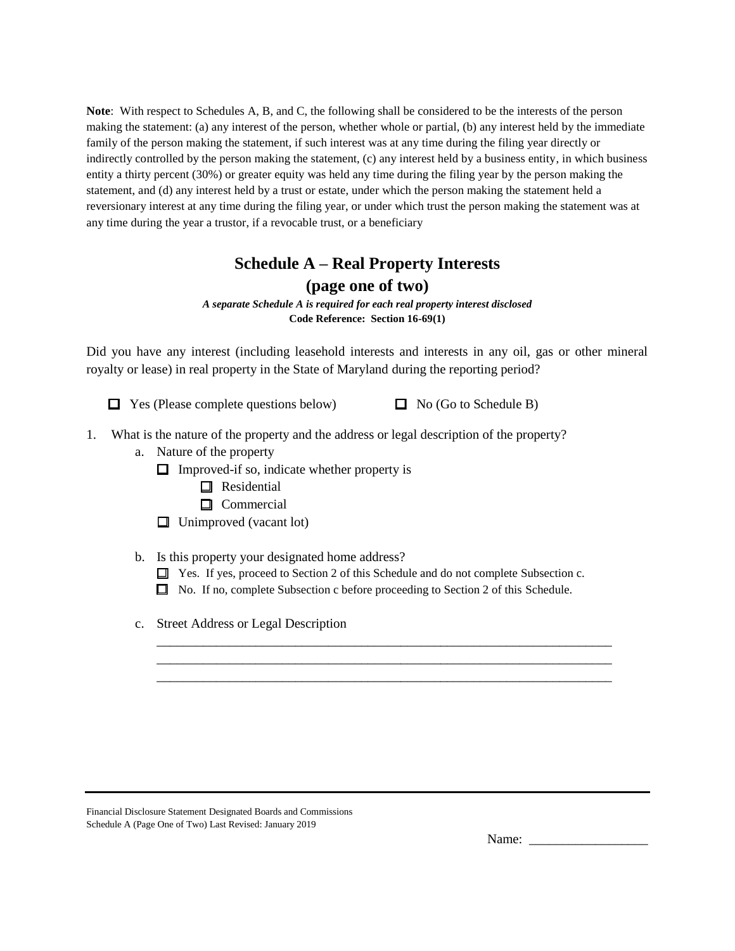**Note**: With respect to Schedules A, B, and C, the following shall be considered to be the interests of the person making the statement: (a) any interest of the person, whether whole or partial, (b) any interest held by the immediate family of the person making the statement, if such interest was at any time during the filing year directly or indirectly controlled by the person making the statement, (c) any interest held by a business entity, in which business entity a thirty percent (30%) or greater equity was held any time during the filing year by the person making the statement, and (d) any interest held by a trust or estate, under which the person making the statement held a reversionary interest at any time during the filing year, or under which trust the person making the statement was at any time during the year a trustor, if a revocable trust, or a beneficiary

## **Schedule A – Real Property Interests (page one of two)**

*A separate Schedule A is required for each real property interest disclosed* **Code Reference: Section 16-69(1)**

Did you have any interest (including leasehold interests and interests in any oil, gas or other mineral royalty or lease) in real property in the State of Maryland during the reporting period?

 $\Box$  Yes (Please complete questions below)  $\Box$  No (Go to Schedule B)

- 1. What is the nature of the property and the address or legal description of the property?
	- a. Nature of the property
		- $\Box$  Improved-if so, indicate whether property is
			- **O** Residential
			- □ Commercial
		- $\Box$  Unimproved (vacant lot)
	- b. Is this property your designated home address?
		- $\Box$  Yes. If yes, proceed to Section 2 of this Schedule and do not complete Subsection c.

\_\_\_\_\_\_\_\_\_\_\_\_\_\_\_\_\_\_\_\_\_\_\_\_\_\_\_\_\_\_\_\_\_\_\_\_\_\_\_\_\_\_\_\_\_\_\_\_\_\_\_\_\_\_\_\_\_\_\_\_\_\_\_\_\_\_\_\_\_ \_\_\_\_\_\_\_\_\_\_\_\_\_\_\_\_\_\_\_\_\_\_\_\_\_\_\_\_\_\_\_\_\_\_\_\_\_\_\_\_\_\_\_\_\_\_\_\_\_\_\_\_\_\_\_\_\_\_\_\_\_\_\_\_\_\_\_\_\_ \_\_\_\_\_\_\_\_\_\_\_\_\_\_\_\_\_\_\_\_\_\_\_\_\_\_\_\_\_\_\_\_\_\_\_\_\_\_\_\_\_\_\_\_\_\_\_\_\_\_\_\_\_\_\_\_\_\_\_\_\_\_\_\_\_\_\_\_\_

- No. If no, complete Subsection c before proceeding to Section 2 of this Schedule.
- c. Street Address or Legal Description

| Financial Disclosure Statement Designated Boards and Commissions |
|------------------------------------------------------------------|
| Schedule A (Page One of Two) Last Revised: January 2019          |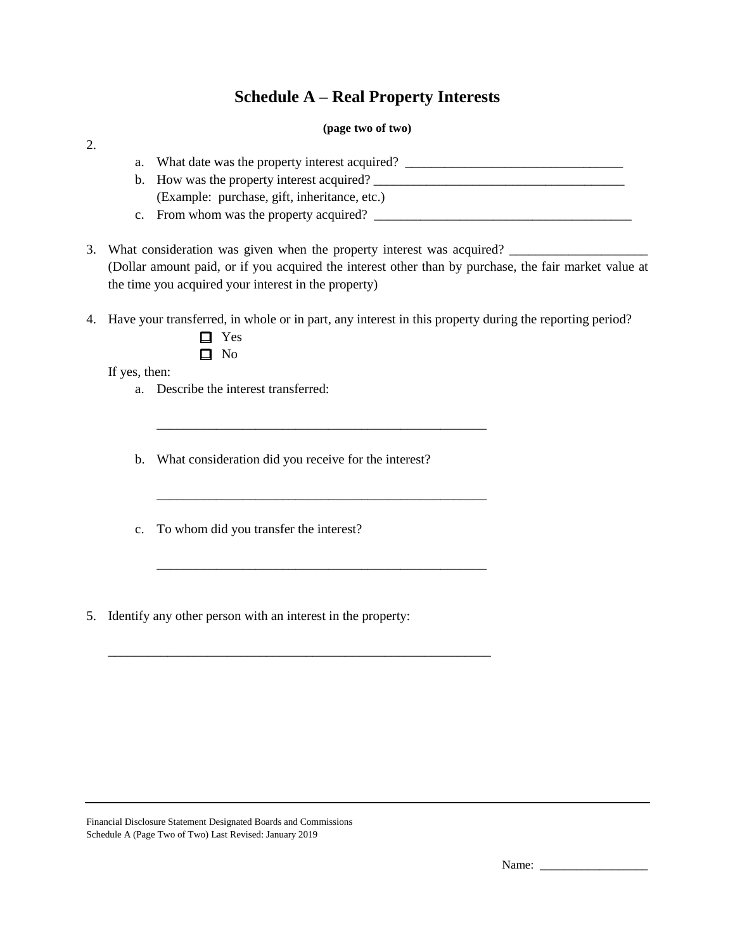## **Schedule A – Real Property Interests**

#### **(page two of two)**

| What date was the property interest acquired? |  |
|-----------------------------------------------|--|
| b. How was the property interest acquired?    |  |
| (Example: purchase, gift, inheritance, etc.)  |  |
| c. From whom was the property acquired?       |  |

3. What consideration was given when the property interest was acquired? (Dollar amount paid, or if you acquired the interest other than by purchase, the fair market value at the time you acquired your interest in the property)

4. Have your transferred, in whole or in part, any interest in this property during the reporting period?

 $\Box$  No

If yes, then:

2.

a. Describe the interest transferred:

b. What consideration did you receive for the interest?

\_\_\_\_\_\_\_\_\_\_\_\_\_\_\_\_\_\_\_\_\_\_\_\_\_\_\_\_\_\_\_\_\_\_\_\_\_\_\_\_\_\_\_\_\_\_\_\_\_\_

\_\_\_\_\_\_\_\_\_\_\_\_\_\_\_\_\_\_\_\_\_\_\_\_\_\_\_\_\_\_\_\_\_\_\_\_\_\_\_\_\_\_\_\_\_\_\_\_\_\_

\_\_\_\_\_\_\_\_\_\_\_\_\_\_\_\_\_\_\_\_\_\_\_\_\_\_\_\_\_\_\_\_\_\_\_\_\_\_\_\_\_\_\_\_\_\_\_\_\_\_

\_\_\_\_\_\_\_\_\_\_\_\_\_\_\_\_\_\_\_\_\_\_\_\_\_\_\_\_\_\_\_\_\_\_\_\_\_\_\_\_\_\_\_\_\_\_\_\_\_\_\_\_\_\_\_\_\_\_

- c. To whom did you transfer the interest?
- 5. Identify any other person with an interest in the property:

Financial Disclosure Statement Designated Boards and Commissions Schedule A (Page Two of Two) Last Revised: January 2019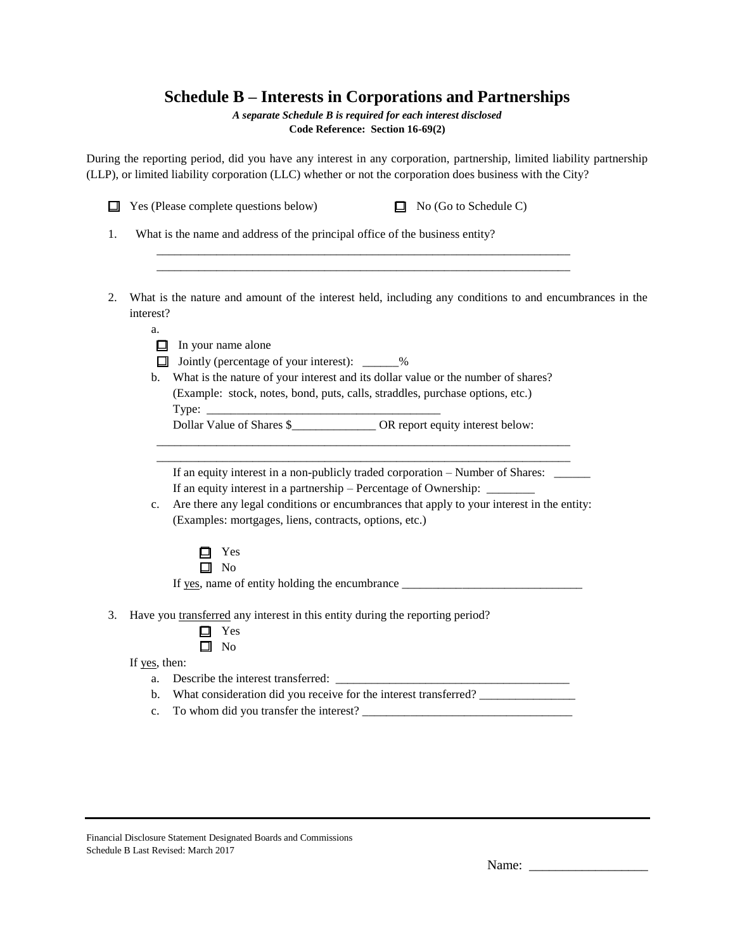# **Schedule B – Interests in Corporations and Partnerships**

*A separate Schedule B is required for each interest disclosed*

**Code Reference: Section 16-69(2)**

During the reporting period, did you have any interest in any corporation, partnership, limited liability partnership (LLP), or limited liability corporation (LLC) whether or not the corporation does business with the City?

|    | Yes (Please complete questions below)<br>No (Go to Schedule C)<br>◻                                                  |
|----|----------------------------------------------------------------------------------------------------------------------|
| 1. | What is the name and address of the principal office of the business entity?                                         |
|    |                                                                                                                      |
| 2. | What is the nature and amount of the interest held, including any conditions to and encumbrances in the<br>interest? |
|    | a.                                                                                                                   |
|    | $\Box$ In your name alone                                                                                            |
|    | □ Jointly (percentage of your interest): _____%                                                                      |
|    | What is the nature of your interest and its dollar value or the number of shares?<br>b.                              |
|    | (Example: stock, notes, bond, puts, calls, straddles, purchase options, etc.)                                        |
|    |                                                                                                                      |
|    | Dollar Value of Shares \$ OR report equity interest below:                                                           |
|    |                                                                                                                      |
|    |                                                                                                                      |
|    | If an equity interest in a non-publicly traded corporation – Number of Shares: _____                                 |
|    | If an equity interest in a partnership – Percentage of Ownership: ________                                           |
|    | Are there any legal conditions or encumbrances that apply to your interest in the entity:<br>c.                      |
|    | (Examples: mortgages, liens, contracts, options, etc.)                                                               |
|    | Yes<br>ப                                                                                                             |
|    | $\Box$ No                                                                                                            |
|    | If yes, name of entity holding the encumbrance __________________________________                                    |
| 3. | Have you transferred any interest in this entity during the reporting period?<br>Yes<br>$\Box$ No                    |
|    | If yes, then:                                                                                                        |
|    | a.                                                                                                                   |
|    | What consideration did you receive for the interest transferred?<br>$\mathbf{b}$ .                                   |
|    | $C_{\star}$                                                                                                          |
|    |                                                                                                                      |
|    |                                                                                                                      |

Financial Disclosure Statement Designated Boards and Commissions Schedule B Last Revised: March 2017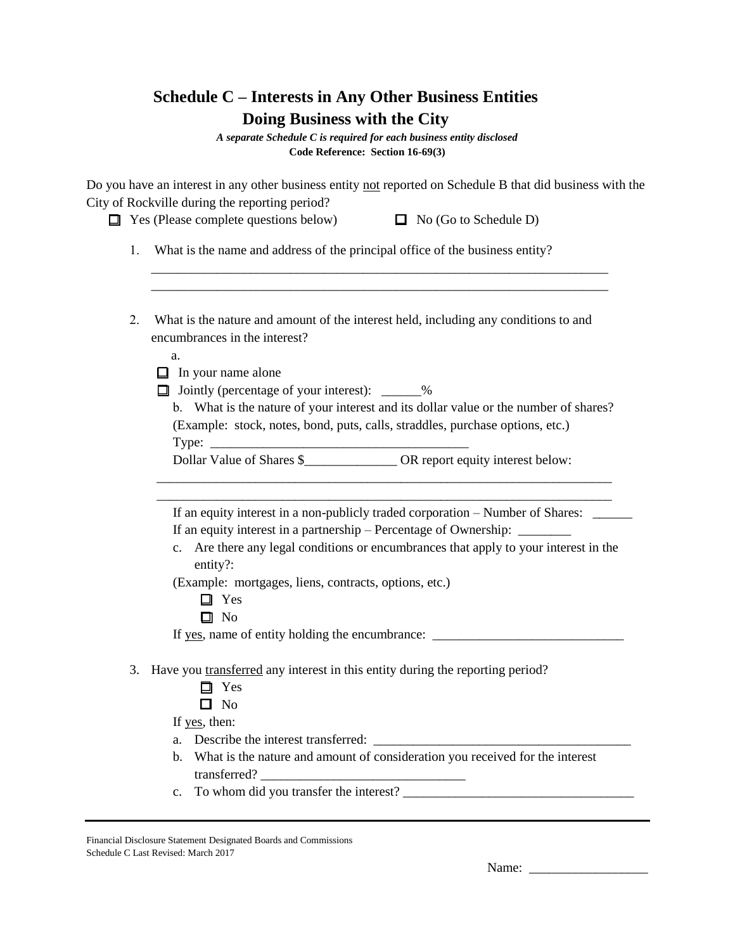| Schedule C – Interests in Any Other Business Entities |
|-------------------------------------------------------|
| Doing Business with the City                          |

*A separate Schedule C is required for each business entity disclosed* **Code Reference: Section 16-69(3)**

Do you have an interest in any other business entity not reported on Schedule B that did business with the City of Rockville during the reporting period?

> \_\_\_\_\_\_\_\_\_\_\_\_\_\_\_\_\_\_\_\_\_\_\_\_\_\_\_\_\_\_\_\_\_\_\_\_\_\_\_\_\_\_\_\_\_\_\_\_\_\_\_\_\_\_\_\_\_\_\_\_\_\_\_\_\_\_\_\_\_ \_\_\_\_\_\_\_\_\_\_\_\_\_\_\_\_\_\_\_\_\_\_\_\_\_\_\_\_\_\_\_\_\_\_\_\_\_\_\_\_\_\_\_\_\_\_\_\_\_\_\_\_\_\_\_\_\_\_\_\_\_\_\_\_\_\_\_\_\_

 $\Box$  Yes (Please complete questions below)  $\Box$  No (Go to Schedule D)

1. What is the name and address of the principal office of the business entity?

2. What is the nature and amount of the interest held, including any conditions to and encumbrances in the interest?

a.

 $\Box$  In your name alone

 $\Box$  Jointly (percentage of your interest):  $\_\_\_\_\%$ 

b. What is the nature of your interest and its dollar value or the number of shares? (Example: stock, notes, bond, puts, calls, straddles, purchase options, etc.) Type:

Dollar Value of Shares \$\_\_\_\_\_\_\_\_\_\_\_\_\_\_\_\_\_\_ OR report equity interest below:

If an equity interest in a non-publicly traded corporation – Number of Shares: If an equity interest in a partnership – Percentage of Ownership: \_\_\_\_\_\_\_\_

\_\_\_\_\_\_\_\_\_\_\_\_\_\_\_\_\_\_\_\_\_\_\_\_\_\_\_\_\_\_\_\_\_\_\_\_\_\_\_\_\_\_\_\_\_\_\_\_\_\_\_\_\_\_\_\_\_\_\_\_\_\_\_\_\_\_\_\_\_ \_\_\_\_\_\_\_\_\_\_\_\_\_\_\_\_\_\_\_\_\_\_\_\_\_\_\_\_\_\_\_\_\_\_\_\_\_\_\_\_\_\_\_\_\_\_\_\_\_\_\_\_\_\_\_\_\_\_\_\_\_\_\_\_\_\_\_\_\_

c. Are there any legal conditions or encumbrances that apply to your interest in the entity?:

(Example: mortgages, liens, contracts, options, etc.)

- □ Yes
- $\Box$  No

If yes, name of entity holding the encumbrance: \_\_\_\_\_\_\_\_\_\_\_\_\_\_\_\_\_\_\_\_\_\_\_\_\_\_\_\_\_\_\_\_\_

3. Have you transferred any interest in this entity during the reporting period?

- □ Yes
- $\Box$  No

If yes, then:

- a. Describe the interest transferred: \_\_\_\_\_\_\_\_\_\_\_\_\_\_\_\_\_\_\_\_\_\_\_\_\_\_\_\_\_\_\_\_\_\_\_\_\_\_\_
- b. What is the nature and amount of consideration you received for the interest transferred?
- c. To whom did you transfer the interest?  $\frac{1}{\sqrt{2}}$

Financial Disclosure Statement Designated Boards and Commissions Schedule C Last Revised: March 2017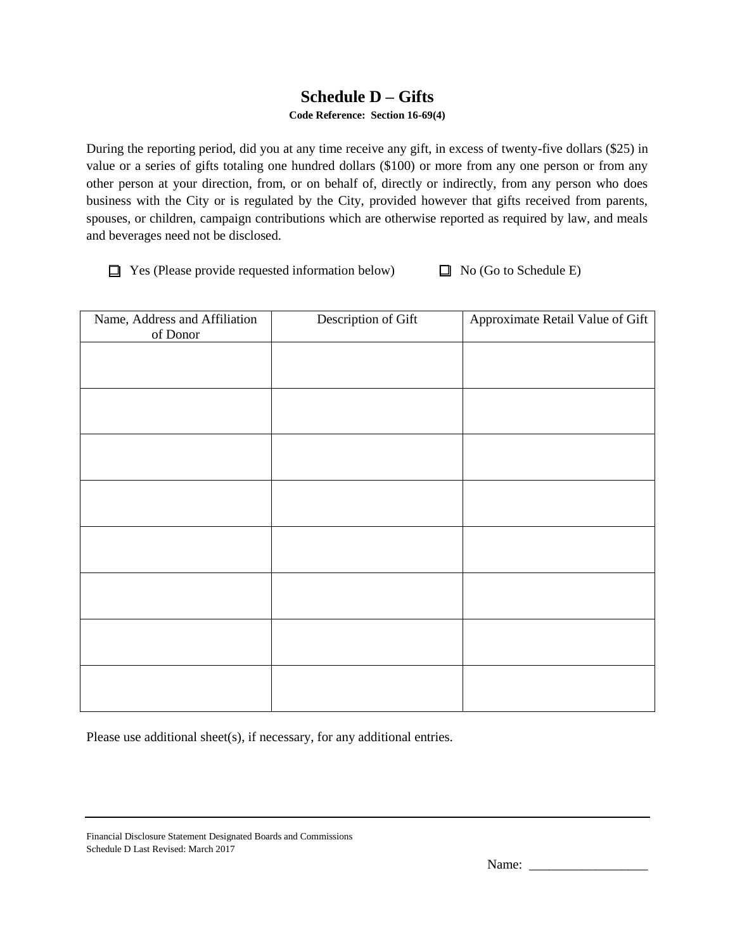## **Schedule D – Gifts**

#### **Code Reference: Section 16-69(4)**

During the reporting period, did you at any time receive any gift, in excess of twenty-five dollars (\$25) in value or a series of gifts totaling one hundred dollars (\$100) or more from any one person or from any other person at your direction, from, or on behalf of, directly or indirectly, from any person who does business with the City or is regulated by the City, provided however that gifts received from parents, spouses, or children, campaign contributions which are otherwise reported as required by law, and meals and beverages need not be disclosed.

 $\Box$  Yes (Please provide requested information below)  $\Box$  No (Go to Schedule E)

| Name, Address and Affiliation<br>of Donor | Description of Gift | Approximate Retail Value of Gift |
|-------------------------------------------|---------------------|----------------------------------|
|                                           |                     |                                  |
|                                           |                     |                                  |
|                                           |                     |                                  |
|                                           |                     |                                  |
|                                           |                     |                                  |
|                                           |                     |                                  |
|                                           |                     |                                  |
|                                           |                     |                                  |
|                                           |                     |                                  |
|                                           |                     |                                  |
|                                           |                     |                                  |
|                                           |                     |                                  |
|                                           |                     |                                  |
|                                           |                     |                                  |
|                                           |                     |                                  |
|                                           |                     |                                  |

Please use additional sheet(s), if necessary, for any additional entries.

Financial Disclosure Statement Designated Boards and Commissions Schedule D Last Revised: March 2017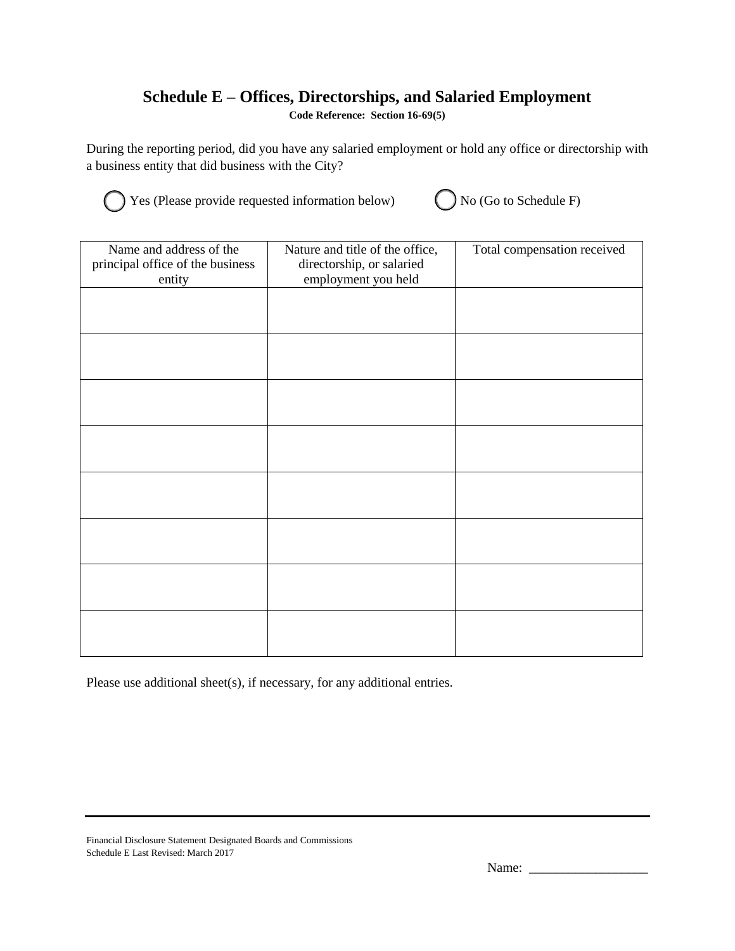# **Schedule E – Offices, Directorships, and Salaried Employment**

**Code Reference: Section 16-69(5)**

During the reporting period, did you have any salaried employment or hold any office or directorship with a business entity that did business with the City?



Yes (Please provide requested information below)  $\bigcirc$  No (Go to Schedule F)

| Name and address of the<br>principal office of the business<br>entity | Nature and title of the office,<br>directorship, or salaried<br>employment you held | Total compensation received |
|-----------------------------------------------------------------------|-------------------------------------------------------------------------------------|-----------------------------|
|                                                                       |                                                                                     |                             |
|                                                                       |                                                                                     |                             |
|                                                                       |                                                                                     |                             |
|                                                                       |                                                                                     |                             |
|                                                                       |                                                                                     |                             |
|                                                                       |                                                                                     |                             |
|                                                                       |                                                                                     |                             |
|                                                                       |                                                                                     |                             |

Please use additional sheet(s), if necessary, for any additional entries.

Financial Disclosure Statement Designated Boards and Commissions Schedule E Last Revised: March 2017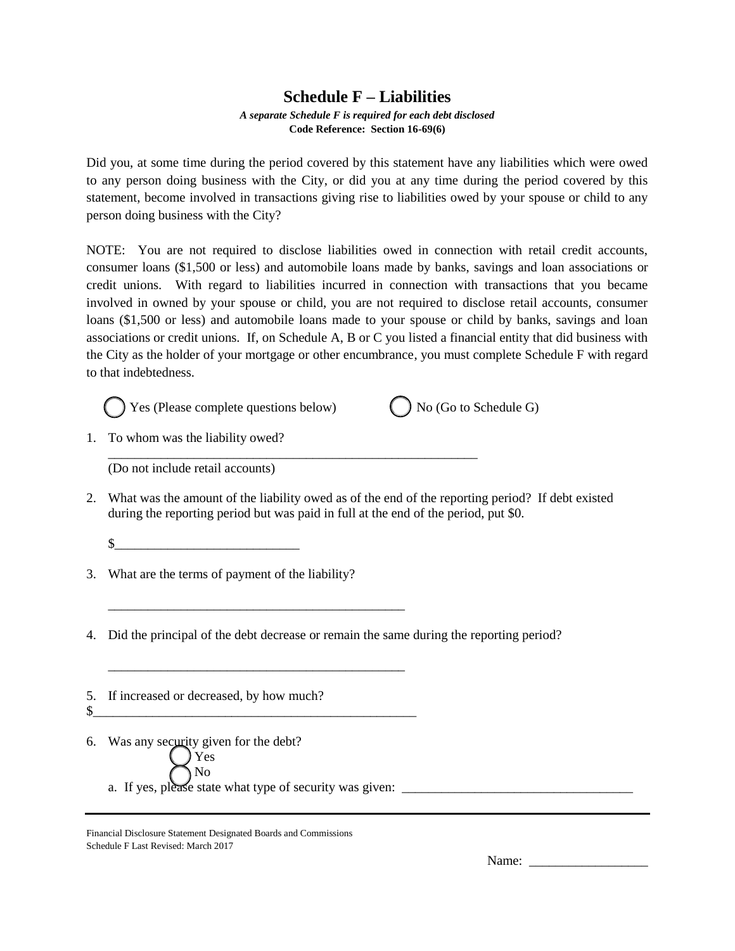### **Schedule F – Liabilities**

#### *A separate Schedule F is required for each debt disclosed* **Code Reference: Section 16-69(6)**

Did you, at some time during the period covered by this statement have any liabilities which were owed to any person doing business with the City, or did you at any time during the period covered by this statement, become involved in transactions giving rise to liabilities owed by your spouse or child to any person doing business with the City?

NOTE: You are not required to disclose liabilities owed in connection with retail credit accounts, consumer loans (\$1,500 or less) and automobile loans made by banks, savings and loan associations or credit unions. With regard to liabilities incurred in connection with transactions that you became involved in owned by your spouse or child, you are not required to disclose retail accounts, consumer loans (\$1,500 or less) and automobile loans made to your spouse or child by banks, savings and loan associations or credit unions. If, on Schedule A, B or C you listed a financial entity that did business with the City as the holder of your mortgage or other encumbrance, you must complete Schedule F with regard to that indebtedness.



\_\_\_\_\_\_\_\_\_\_\_\_\_\_\_\_\_\_\_\_\_\_\_\_\_\_\_\_\_\_\_\_\_\_\_\_\_\_\_\_\_\_\_\_\_\_\_\_\_\_\_\_\_\_\_\_



1. To whom was the liability owed?

(Do not include retail accounts)

- 2. What was the amount of the liability owed as of the end of the reporting period? If debt existed during the reporting period but was paid in full at the end of the period, put \$0.
	- $\mathbb{S}$
- 3. What are the terms of payment of the liability?

\_\_\_\_\_\_\_\_\_\_\_\_\_\_\_\_\_\_\_\_\_\_\_\_\_\_\_\_\_\_\_\_\_\_\_\_\_\_\_\_\_\_\_\_\_

\_\_\_\_\_\_\_\_\_\_\_\_\_\_\_\_\_\_\_\_\_\_\_\_\_\_\_\_\_\_\_\_\_\_\_\_\_\_\_\_\_\_\_\_\_

\$\_\_\_\_\_\_\_\_\_\_\_\_\_\_\_\_\_\_\_\_\_\_\_\_\_\_\_\_\_\_\_\_\_\_\_\_\_\_\_\_\_\_\_\_\_\_\_\_\_

4. Did the principal of the debt decrease or remain the same during the reporting period?

5. If increased or decreased, by how much?

6. Was any security given for the debt? Yes No a. If yes, please state what type of security was given:

Financial Disclosure Statement Designated Boards and Commissions Schedule F Last Revised: March 2017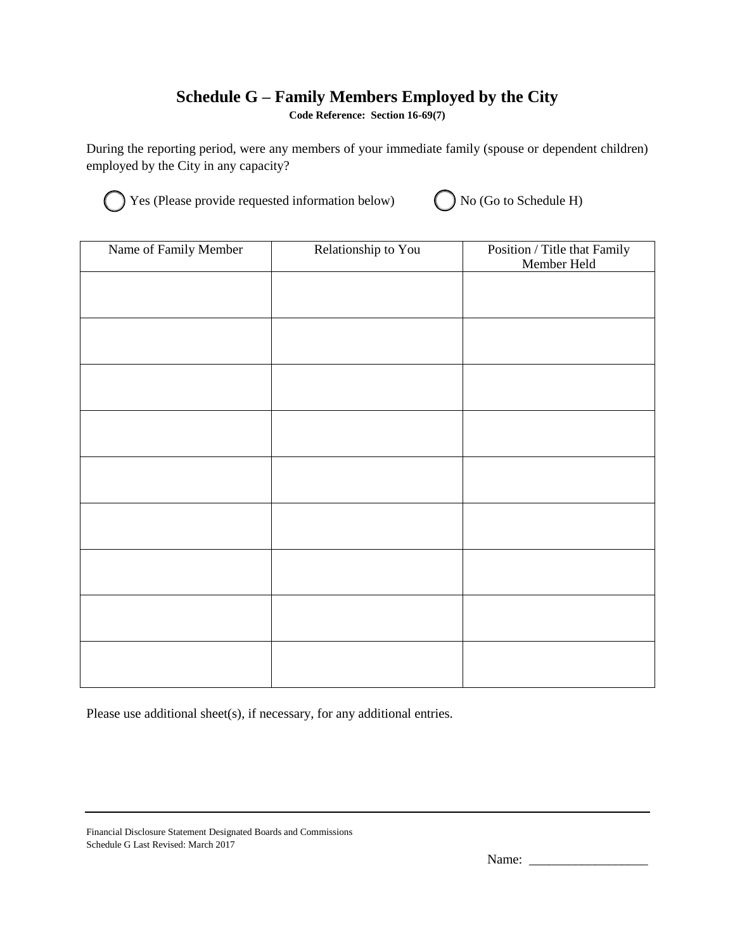# **Schedule G – Family Members Employed by the City**

**Code Reference: Section 16-69(7)**

During the reporting period, were any members of your immediate family (spouse or dependent children) employed by the City in any capacity?



Yes (Please provide requested information below)  $\bigcirc$  No (Go to Schedule H)

| Name of Family Member | Relationship to You | Position / Title that Family<br>Member Held |
|-----------------------|---------------------|---------------------------------------------|
|                       |                     |                                             |
|                       |                     |                                             |
|                       |                     |                                             |
|                       |                     |                                             |
|                       |                     |                                             |
|                       |                     |                                             |
|                       |                     |                                             |
|                       |                     |                                             |
|                       |                     |                                             |
|                       |                     |                                             |
|                       |                     |                                             |

Please use additional sheet(s), if necessary, for any additional entries.

Financial Disclosure Statement Designated Boards and Commissions Schedule G Last Revised: March 2017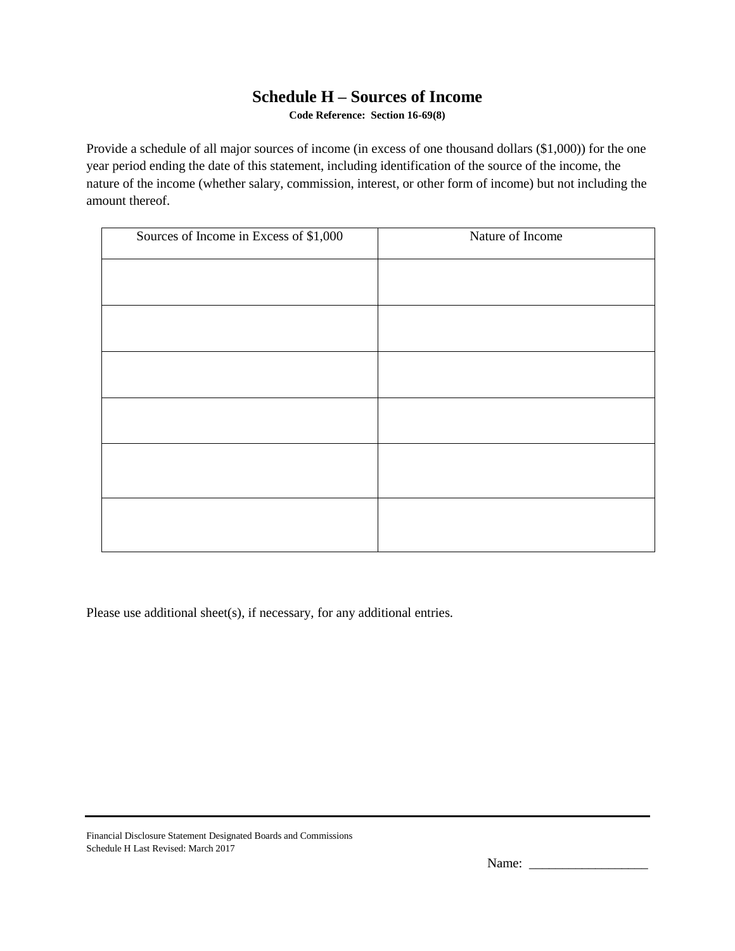## **Schedule H – Sources of Income**

**Code Reference: Section 16-69(8)**

Provide a schedule of all major sources of income (in excess of one thousand dollars (\$1,000)) for the one year period ending the date of this statement, including identification of the source of the income, the nature of the income (whether salary, commission, interest, or other form of income) but not including the amount thereof.

| Sources of Income in Excess of \$1,000 | Nature of Income |
|----------------------------------------|------------------|
|                                        |                  |
|                                        |                  |
|                                        |                  |
|                                        |                  |
|                                        |                  |
|                                        |                  |
|                                        |                  |
|                                        |                  |
|                                        |                  |
|                                        |                  |
|                                        |                  |
|                                        |                  |
|                                        |                  |

Please use additional sheet(s), if necessary, for any additional entries.

Financial Disclosure Statement Designated Boards and Commissions Schedule H Last Revised: March 2017